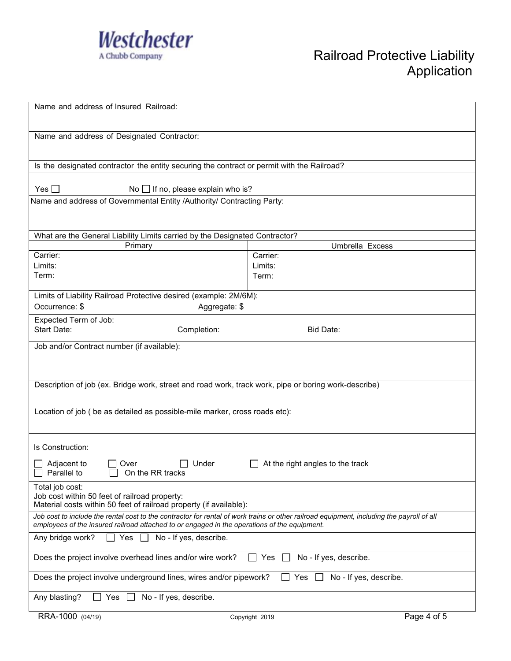

| Name and address of Insured Railroad:                                                                                                                                                                                                     |                                  |             |  |  |
|-------------------------------------------------------------------------------------------------------------------------------------------------------------------------------------------------------------------------------------------|----------------------------------|-------------|--|--|
| Name and address of Designated Contractor:                                                                                                                                                                                                |                                  |             |  |  |
| Is the designated contractor the entity securing the contract or permit with the Railroad?                                                                                                                                                |                                  |             |  |  |
| Yes $\Box$<br>No $\Box$ If no, please explain who is?                                                                                                                                                                                     |                                  |             |  |  |
| Name and address of Governmental Entity /Authority/ Contracting Party:                                                                                                                                                                    |                                  |             |  |  |
| What are the General Liability Limits carried by the Designated Contractor?                                                                                                                                                               |                                  |             |  |  |
| Primary<br>Carrier:                                                                                                                                                                                                                       | Umbrella Excess<br>Carrier:      |             |  |  |
| Limits:                                                                                                                                                                                                                                   | Limits:                          |             |  |  |
| Term:                                                                                                                                                                                                                                     | Term:                            |             |  |  |
|                                                                                                                                                                                                                                           |                                  |             |  |  |
| Limits of Liability Railroad Protective desired (example: 2M/6M):                                                                                                                                                                         |                                  |             |  |  |
| Occurrence: \$<br>Aggregate: \$                                                                                                                                                                                                           |                                  |             |  |  |
| Expected Term of Job:                                                                                                                                                                                                                     |                                  |             |  |  |
| Start Date:<br>Completion:                                                                                                                                                                                                                | Bid Date:                        |             |  |  |
| Job and/or Contract number (if available):                                                                                                                                                                                                |                                  |             |  |  |
| Description of job (ex. Bridge work, street and road work, track work, pipe or boring work-describe)                                                                                                                                      |                                  |             |  |  |
| Location of job ( be as detailed as possible-mile marker, cross roads etc):                                                                                                                                                               |                                  |             |  |  |
| Is Construction:                                                                                                                                                                                                                          |                                  |             |  |  |
| Adjacent to<br>Under<br>Over<br>Parallel to<br>On the RR tracks                                                                                                                                                                           | At the right angles to the track |             |  |  |
| Total job cost:<br>Job cost within 50 feet of railroad property:<br>Material costs within 50 feet of railroad property (if available):                                                                                                    |                                  |             |  |  |
| Job cost to include the rental cost to the contractor for rental of work trains or other railroad equipment, including the payroll of all<br>employees of the insured railroad attached to or engaged in the operations of the equipment. |                                  |             |  |  |
| Yes $\square$<br>No - If yes, describe.<br>Any bridge work?<br>$\mathbf{L}$                                                                                                                                                               |                                  |             |  |  |
| Does the project involve overhead lines and/or wire work?<br>No - If yes, describe.<br>Yes<br><b>College</b>                                                                                                                              |                                  |             |  |  |
| Does the project involve underground lines, wires and/or pipework?<br>Yes<br>No - If yes, describe.                                                                                                                                       |                                  |             |  |  |
| No - If yes, describe.<br>Any blasting?<br>Yes                                                                                                                                                                                            |                                  |             |  |  |
| RRA-1000 (04/19)                                                                                                                                                                                                                          | Copyright -2019                  | Page 4 of 5 |  |  |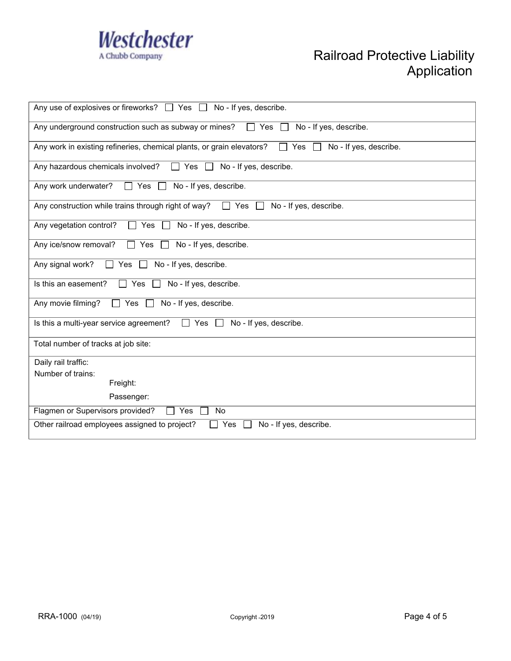

| Any use of explosives or fireworks? $\Box$ Yes $\Box$<br>No - If yes, describe.                                      |  |  |  |  |
|----------------------------------------------------------------------------------------------------------------------|--|--|--|--|
| Any underground construction such as subway or mines?<br>Yes<br>No - If yes, describe.<br>$\mathbf{1}$               |  |  |  |  |
| Any work in existing refineries, chemical plants, or grain elevators?<br>No - If yes, describe.<br>$\Box$ Yes $\Box$ |  |  |  |  |
| Any hazardous chemicals involved?<br>$\Box$ Yes $\Box$<br>No - If yes, describe.                                     |  |  |  |  |
| Any work underwater?<br>No - If yes, describe.<br>$\Box$ Yes<br>$\perp$                                              |  |  |  |  |
| Any construction while trains through right of way?<br>No - If yes, describe.<br>Yes                                 |  |  |  |  |
| No - If yes, describe.<br>Any vegetation control?<br>Yes $\Box$<br>$\perp$                                           |  |  |  |  |
| Any ice/snow removal?<br>No - If yes, describe.<br>$\Box$ Yes<br>$\perp$                                             |  |  |  |  |
| Any signal work?<br>No - If yes, describe.<br>Yes<br>$\Box$                                                          |  |  |  |  |
| No - If yes, describe.<br>Is this an easement?<br>Yes<br>$\perp$                                                     |  |  |  |  |
| Any movie filming?<br>$\Box$ Yes $\Box$<br>No - If yes, describe.                                                    |  |  |  |  |
| Is this a multi-year service agreement?<br>$\Box$ Yes $\Box$<br>No - If yes, describe.                               |  |  |  |  |
| Total number of tracks at job site:                                                                                  |  |  |  |  |
| Daily rail traffic:                                                                                                  |  |  |  |  |
| Number of trains:                                                                                                    |  |  |  |  |
| Freight:                                                                                                             |  |  |  |  |
| Passenger:                                                                                                           |  |  |  |  |
| Flagmen or Supervisors provided?<br>No<br>$\Box$ Yes                                                                 |  |  |  |  |
| Other railroad employees assigned to project?<br>Yes<br>No - If yes, describe.                                       |  |  |  |  |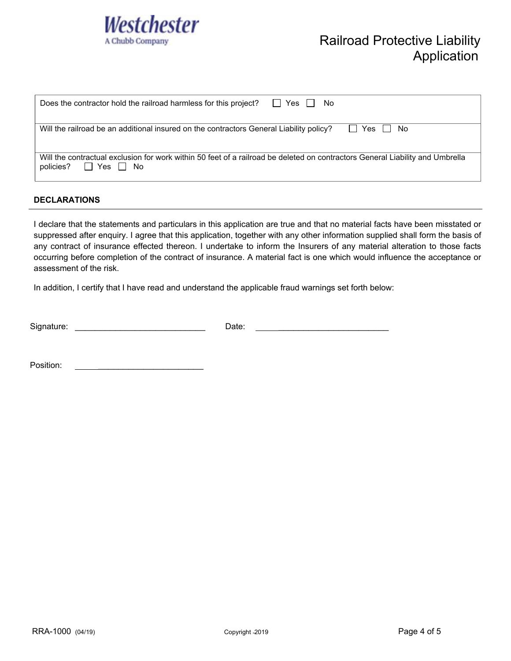

| $\Box$ Yes $\Box$<br>Does the contractor hold the railroad harmless for this project?<br>No.                                                             |  |  |  |
|----------------------------------------------------------------------------------------------------------------------------------------------------------|--|--|--|
| Will the railroad be an additional insured on the contractors General Liability policy?<br>l I Yes I I<br>No                                             |  |  |  |
| Will the contractual exclusion for work within 50 feet of a railroad be deleted on contractors General Liability and Umbrella<br>□ Yes □ No<br>policies? |  |  |  |

## **DECLARATIONS**

I declare that the statements and particulars in this application are true and that no material facts have been misstated or suppressed after enquiry. I agree that this application, together with any other information supplied shall form the basis of any contract of insurance effected thereon. I undertake to inform the Insurers of any material alteration to those facts occurring before completion of the contract of insurance. A material fact is one which would influence the acceptance or assessment of the risk.

In addition, I certify that I have read and understand the applicable fraud warnings set forth below:

| Signature: | late<br><b>ALV.</b><br>----- |  |
|------------|------------------------------|--|
|            |                              |  |

Position: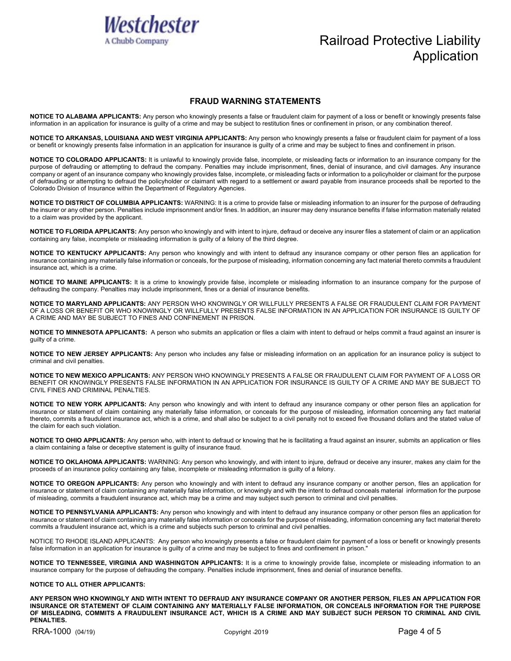

## Railroad Protective Liability Application

## **FRAUD WARNING STATEMENTS**

**NOTICE TO ALABAMA APPLICANTS:** Any person who knowingly presents a false or fraudulent claim for payment of a loss or benefit or knowingly presents false information in an application for insurance is guilty of a crime and may be subject to restitution fines or confinement in prison, or any combination thereof.

**NOTICE TO ARKANSAS, LOUISIANA AND WEST VIRGINIA APPLICANTS:** Any person who knowingly presents a false or fraudulent claim for payment of a loss or benefit or knowingly presents false information in an application for insurance is guilty of a crime and may be subject to fines and confinement in prison.

**NOTICE TO COLORADO APPLICANTS:** It is unlawful to knowingly provide false, incomplete, or misleading facts or information to an insurance company for the purpose of defrauding or attempting to defraud the company. Penalties may include imprisonment, fines, denial of insurance, and civil damages. Any insurance company or agent of an insurance company who knowingly provides false, incomplete, or misleading facts or information to a policyholder or claimant for the purpose of defrauding or attempting to defraud the policyholder or claimant with regard to a settlement or award payable from insurance proceeds shall be reported to the Colorado Division of Insurance within the Department of Regulatory Agencies.

**NOTICE TO DISTRICT OF COLUMBIA APPLICANTS:** WARNING: It is a crime to provide false or misleading information to an insurer for the purpose of defrauding the insurer or any other person. Penalties include imprisonment and/or fines. In addition, an insurer may deny insurance benefits if false information materially related to a claim was provided by the applicant.

**NOTICE TO FLORIDA APPLICANTS:** Any person who knowingly and with intent to injure, defraud or deceive any insurer files a statement of claim or an application containing any false, incomplete or misleading information is guilty of a felony of the third degree.

**NOTICE TO KENTUCKY APPLICANTS:** Any person who knowingly and with intent to defraud any insurance company or other person files an application for insurance containing any materially false information or conceals, for the purpose of misleading, information concerning any fact material thereto commits a fraudulent insurance act, which is a crime.

**NOTICE TO MAINE APPLICANTS:** It is a crime to knowingly provide false, incomplete or misleading information to an insurance company for the purpose of defrauding the company. Penalties may include imprisonment, fines or a denial of insurance benefits.

**NOTICE TO MARYLAND APPLICANTS:** ANY PERSON WHO KNOWINGLY OR WILLFULLY PRESENTS A FALSE OR FRAUDULENT CLAIM FOR PAYMENT OF A LOSS OR BENEFIT OR WHO KNOWINGLY OR WILLFULLY PRESENTS FALSE INFORMATION IN AN APPLICATION FOR INSURANCE IS GUILTY OF A CRIME AND MAY BE SUBJECT TO FINES AND CONFINEMENT IN PRISON.

**NOTICE TO MINNESOTA APPLICANTS:** A person who submits an application or files a claim with intent to defraud or helps commit a fraud against an insurer is guilty of a crime.

**NOTICE TO NEW JERSEY APPLICANTS:** Any person who includes any false or misleading information on an application for an insurance policy is subject to criminal and civil penalties.

**NOTICE TO NEW MEXICO APPLICANTS:** ANY PERSON WHO KNOWINGLY PRESENTS A FALSE OR FRAUDULENT CLAIM FOR PAYMENT OF A LOSS OR BENEFIT OR KNOWINGLY PRESENTS FALSE INFORMATION IN AN APPLICATION FOR INSURANCE IS GUILTY OF A CRIME AND MAY BE SUBJECT TO CIVIL FINES AND CRIMINAL PENALTIES.

**NOTICE TO NEW YORK APPLICANTS:** Any person who knowingly and with intent to defraud any insurance company or other person files an application for insurance or statement of claim containing any materially false information, or conceals for the purpose of misleading, information concerning any fact material thereto, commits a fraudulent insurance act, which is a crime, and shall also be subject to a civil penalty not to exceed five thousand dollars and the stated value of the claim for each such violation.

**NOTICE TO OHIO APPLICANTS:** Any person who, with intent to defraud or knowing that he is facilitating a fraud against an insurer, submits an application or files a claim containing a false or deceptive statement is guilty of insurance fraud.

**NOTICE TO OKLAHOMA APPLICANTS:** WARNING: Any person who knowingly, and with intent to injure, defraud or deceive any insurer, makes any claim for the proceeds of an insurance policy containing any false, incomplete or misleading information is guilty of a felony.

**NOTICE TO OREGON APPLICANTS:** Any person who knowingly and with intent to defraud any insurance company or another person, files an application for insurance or statement of claim containing any materially false information, or knowingly and with the intent to defraud conceals material information for the purpose of misleading, commits a fraudulent insurance act, which may be a crime and may subject such person to criminal and civil penalties.

**NOTICE TO PENNSYLVANIA APPLICANTS:** Any person who knowingly and with intent to defraud any insurance company or other person files an application for insurance or statement of claim containing any materially false information or conceals for the purpose of misleading, information concerning any fact material thereto commits a fraudulent insurance act, which is a crime and subjects such person to criminal and civil penalties.

NOTICE TO RHODE ISLAND APPLICANTS: Any person who knowingly presents a false or fraudulent claim for payment of a loss or benefit or knowingly presents false information in an application for insurance is guilty of a crime and may be subject to fines and confinement in prison."

**NOTICE TO TENNESSEE, VIRGINIA AND WASHINGTON APPLICANTS:** It is a crime to knowingly provide false, incomplete or misleading information to an insurance company for the purpose of defrauding the company. Penalties include imprisonment, fines and denial of insurance benefits.

## **NOTICE TO ALL OTHER APPLICANTS:**

**ANY PERSON WHO KNOWINGLY AND WITH INTENT TO DEFRAUD ANY INSURANCE COMPANY OR ANOTHER PERSON, FILES AN APPLICATION FOR INSURANCE OR STATEMENT OF CLAIM CONTAINING ANY MATERIALLY FALSE INFORMATION, OR CONCEALS INFORMATION FOR THE PURPOSE OF MISLEADING, COMMITS A FRAUDULENT INSURANCE ACT, WHICH IS A CRIME AND MAY SUBJECT SUCH PERSON TO CRIMINAL AND CIVIL PENALTIES.**